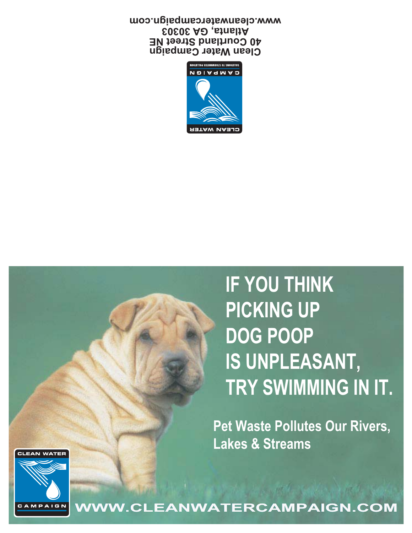**IF YOU THINK PICKING UP DOG POOP IS UNPLEASANT, TRY SWIMMING IN IT.**

**Pet Waste Pollutes Our Rivers, Lakes & Streams** 





**WWW.CLEANWATERCAMPAIGN.COM**

**Clean Water Campaign 40 Courtland Street NE Atlanta, GA 30303 www.cleanwatercampaign.com**

> .<br>Moitujio9 A3tawmaot2 ot 200itujo2 **N D I A I A I G N**

CLEAN WATER